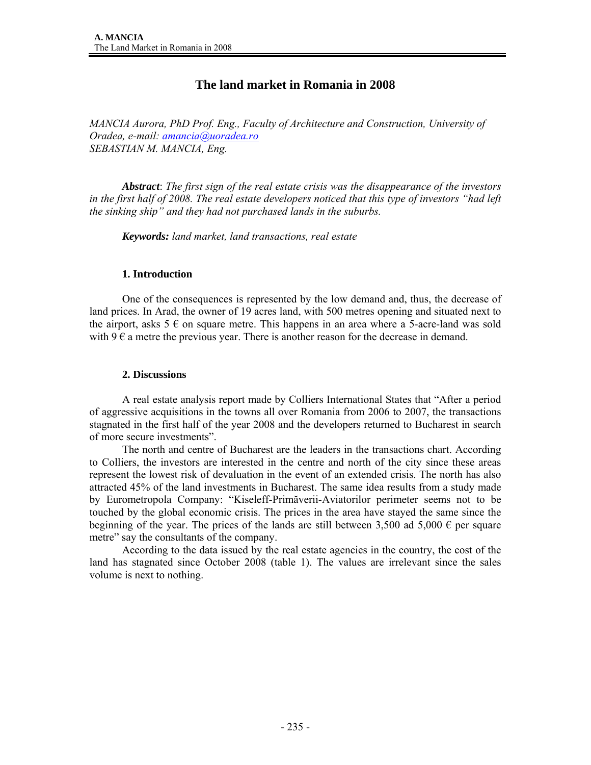# **The land market in Romania in 2008**

*MANCIA Aurora, PhD Prof. Eng., Faculty of Architecture and Construction, University of Oradea, e-mail: amancia@uoradea.ro SEBASTIAN M. MANCIA, Eng.* 

*Abstract*: *The first sign of the real estate crisis was the disappearance of the investors in the first half of 2008. The real estate developers noticed that this type of investors "had left the sinking ship" and they had not purchased lands in the suburbs.* 

*Keywords: land market, land transactions, real estate* 

# **1. Introduction**

One of the consequences is represented by the low demand and, thus, the decrease of land prices. In Arad, the owner of 19 acres land, with 500 metres opening and situated next to the airport, asks  $5 \in \mathfrak{g}$  on square metre. This happens in an area where a 5-acre-land was sold with  $9 \in \mathfrak{a}$  metre the previous year. There is another reason for the decrease in demand.

### **2. Discussions**

A real estate analysis report made by Colliers International States that "After a period of aggressive acquisitions in the towns all over Romania from 2006 to 2007, the transactions stagnated in the first half of the year 2008 and the developers returned to Bucharest in search of more secure investments".

 The north and centre of Bucharest are the leaders in the transactions chart. According to Colliers, the investors are interested in the centre and north of the city since these areas represent the lowest risk of devaluation in the event of an extended crisis. The north has also attracted 45% of the land investments in Bucharest. The same idea results from a study made by Eurometropola Company: "Kiseleff-Primăverii-Aviatorilor perimeter seems not to be touched by the global economic crisis. The prices in the area have stayed the same since the beginning of the year. The prices of the lands are still between 3,500 ad 5,000  $\epsilon$  per square metre" say the consultants of the company.

 According to the data issued by the real estate agencies in the country, the cost of the land has stagnated since October 2008 (table 1). The values are irrelevant since the sales volume is next to nothing.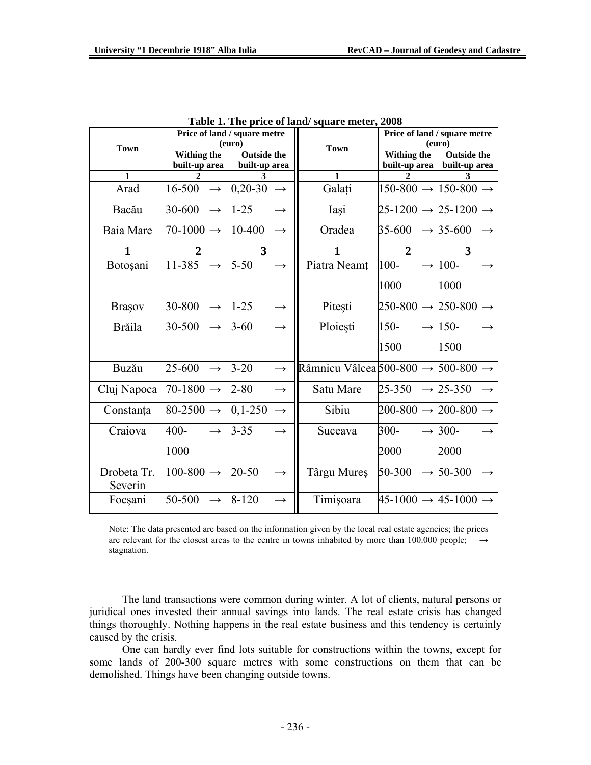|                        | Price of land / square metre |                         |                   |                                                          | Price of land / square metre              |                    |
|------------------------|------------------------------|-------------------------|-------------------|----------------------------------------------------------|-------------------------------------------|--------------------|
| <b>Town</b>            | (euro)                       |                         | <b>Town</b>       | (euro)                                                   |                                           |                    |
|                        | Withing the                  | <b>Outside the</b>      |                   |                                                          | Withing the                               | <b>Outside the</b> |
|                        | built-up area                | built-up area           |                   |                                                          | built-up area                             | built-up area      |
| $\mathbf{1}$           |                              |                         |                   | $\mathbf{1}$                                             |                                           | 3                  |
| Arad                   | $16-500 \rightarrow$         | $0,20-30$ $\rightarrow$ |                   | Galați                                                   | $150-800 \rightarrow 150-800 \rightarrow$ |                    |
| Bacău                  | $30-600 \rightarrow$         | $1 - 25$                |                   | Iași                                                     | $25-1200 \rightarrow 25-1200 \rightarrow$ |                    |
| Baia Mare              | $70-1000 \rightarrow$        | $10-400$                |                   | Oradea                                                   | $35-600 \rightarrow 35-600$               |                    |
| $\mathbf{1}$           | $\overline{2}$               | $\overline{\mathbf{3}}$ |                   |                                                          | $\overline{2}$                            | 3                  |
| Botoșani               | $11-385 \rightarrow$         | $5 - 50$                | $\rightarrow$     | Piatra Neamț                                             | $100 -$                                   | $\rightarrow$ 100- |
|                        |                              |                         |                   |                                                          | 1000                                      | 1000               |
| <b>Brasov</b>          | $30-800 \rightarrow 1-25$    |                         | $\rightarrow$     | Pitești                                                  | $250-800 \rightarrow 250-800 \rightarrow$ |                    |
| <b>Brăila</b>          | $30-500 \rightarrow$         | $3 - 60$                | $\rightarrow$     | Ploiești                                                 | $150 -$                                   | $\rightarrow$ 150- |
|                        |                              |                         |                   |                                                          | 1500                                      | 1500               |
| <b>Buzău</b>           | $25-600 \rightarrow$         | $3 - 20$                | $\rightarrow$     | Râmnicu Vâlcea $500-800 \rightarrow 500-800 \rightarrow$ |                                           |                    |
| Cluj Napoca            | $70-1800 \rightarrow$        | $2 - 80$                | $\rightarrow$     | Satu Mare                                                | $25-350 \rightarrow 25-350$               |                    |
| Constanța              | $80-2500 \rightarrow$        | $0,1-250$               | $\rightarrow$     | Sibiu                                                    | $200-800 \rightarrow 200-800 \rightarrow$ |                    |
| Craiova                | 400-<br>$\rightarrow$        | $3 - 35$                | $\rightarrow$     | Suceava                                                  | $300 -$                                   | $\rightarrow$ 300- |
|                        | 1000                         |                         |                   |                                                          | 2000                                      | 2000               |
| Drobeta Tr.<br>Severin | $100-800 \rightarrow$        | 20-50                   | $\rightarrow$     | Târgu Mureș                                              | $50-300 \rightarrow 50-300$               |                    |
| Focsani                | $50-500 \rightarrow 8-120$   |                         | $\longrightarrow$ | Timişoara                                                | $45-1000 \rightarrow 45-1000 \rightarrow$ |                    |

**Table 1. The price of land/ square meter, 2008** 

Note: The data presented are based on the information given by the local real estate agencies; the prices are relevant for the closest areas to the centre in towns inhabited by more than 100.000 people;  $\rightarrow$ stagnation.

 The land transactions were common during winter. A lot of clients, natural persons or juridical ones invested their annual savings into lands. The real estate crisis has changed things thoroughly. Nothing happens in the real estate business and this tendency is certainly caused by the crisis.

 One can hardly ever find lots suitable for constructions within the towns, except for some lands of 200-300 square metres with some constructions on them that can be demolished. Things have been changing outside towns.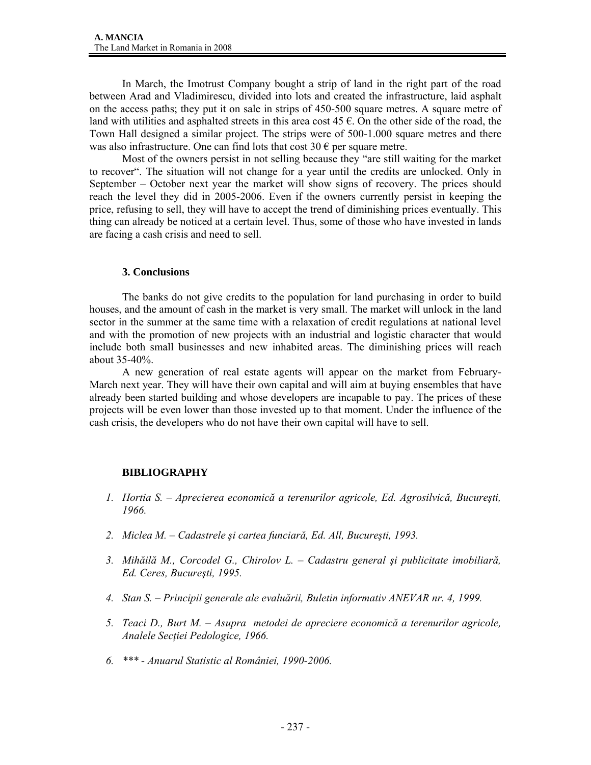In March, the Imotrust Company bought a strip of land in the right part of the road between Arad and Vladimirescu, divided into lots and created the infrastructure, laid asphalt on the access paths; they put it on sale in strips of 450-500 square metres. A square metre of land with utilities and asphalted streets in this area cost  $45 \text{ }\epsilon$ . On the other side of the road, the Town Hall designed a similar project. The strips were of 500-1.000 square metres and there was also infrastructure. One can find lots that cost  $30 \in \text{per}$  square metre.

 Most of the owners persist in not selling because they "are still waiting for the market to recover". The situation will not change for a year until the credits are unlocked. Only in September – October next year the market will show signs of recovery. The prices should reach the level they did in 2005-2006. Even if the owners currently persist in keeping the price, refusing to sell, they will have to accept the trend of diminishing prices eventually. This thing can already be noticed at a certain level. Thus, some of those who have invested in lands are facing a cash crisis and need to sell.

### **3. Conclusions**

The banks do not give credits to the population for land purchasing in order to build houses, and the amount of cash in the market is very small. The market will unlock in the land sector in the summer at the same time with a relaxation of credit regulations at national level and with the promotion of new projects with an industrial and logistic character that would include both small businesses and new inhabited areas. The diminishing prices will reach about 35-40%.

 A new generation of real estate agents will appear on the market from February-March next year. They will have their own capital and will aim at buying ensembles that have already been started building and whose developers are incapable to pay. The prices of these projects will be even lower than those invested up to that moment. Under the influence of the cash crisis, the developers who do not have their own capital will have to sell.

# **BIBLIOGRAPHY**

- *1. Hortia S. Aprecierea economică a terenurilor agricole, Ed. Agrosilvică, Bucureşti, 1966.*
- *2. Miclea M. Cadastrele şi cartea funciară, Ed. All, Bucureşti, 1993.*
- *3. Mihăilă M., Corcodel G., Chirolov L. Cadastru general şi publicitate imobiliară, Ed. Ceres, Bucureşti, 1995.*
- *4. Stan S. Principii generale ale evaluării, Buletin informativ ANEVAR nr. 4, 1999.*
- *5. Teaci D., Burt M. Asupra metodei de apreciere economică a terenurilor agricole, Analele Secţiei Pedologice, 1966.*
- *6. \*\*\* Anuarul Statistic al României, 1990-2006.*